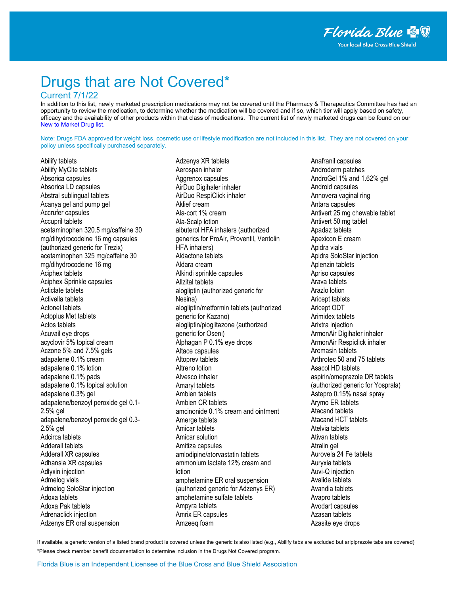# Drugs that are Not Covered\*

#### Current 7/1/22

In addition to this list, newly marketed prescription medications may not be covered until the Pharmacy & Therapeutics Committee has had an opportunity to review the medication, to determine whether the medication will be covered and if so, which tier will apply based on safety, efficacy and the availability of other products within that class of medications. The current list of newly marketed drugs can be found on our [New to Market Drug list.](http://www.bcbsfl.com/DocumentLibrary/Providers/Content/Rx_NewToMarket.pdf)

Note: Drugs FDA approved for weight loss, cosmetic use or lifestyle modification are not included in this list. They are not covered on your policy unless specifically purchased separately.

Abilify tablets Abilify MyCite tablets Absorica capsules Absorica LD capsules Abstral sublingual tablets Acanya gel and pump gel Accrufer capsules Accupril tablets acetaminophen 320.5 mg/caffeine 30 mg/dihydrocodeine 16 mg capsules (authorized generic for Trezix) acetaminophen 325 mg/caffeine 30 mg/dihydrocodeine 16 mg Aciphex tablets Aciphex Sprinkle capsules Acticlate tablets Activella tablets Actonel tablets Actoplus Met tablets Actos tablets Acuvail eye drops acyclovir 5% topical cream Aczone 5% and 7.5% gels adapalene 0.1% cream adapalene 0.1% lotion adapalene 0.1% pads adapalene 0.1% topical solution adapalene 0.3% gel adapalene/benzoyl peroxide gel 0.1- 2.5% gel adapalene/benzoyl peroxide gel 0.3- 2.5% gel Adcirca tablets Adderall tablets Adderall XR capsules Adhansia XR capsules Adlyxin injection Admelog vials Admelog SoloStar injection Adoxa tablets Adoxa Pak tablets Adrenaclick injection Adzenys ER oral suspension

Adzenys XR tablets Aerospan inhaler Aggrenox capsules AirDuo Digihaler inhaler AirDuo RespiClick inhaler Aklief cream Ala-cort 1% cream Ala-Scalp lotion albuterol HFA inhalers (authorized generics for ProAir, Proventil, Ventolin HFA inhalers) Aldactone tablets Aldara cream Alkindi sprinkle capsules Allzital tablets alogliptin (authorized generic for Nesina) alogliptin/metformin tablets (authorized generic for Kazano) alogliptin/pioglitazone (authorized generic for Oseni) Alphagan P 0.1% eye drops Altace capsules Altoprev tablets Altreno lotion Alvesco inhaler Amaryl tablets Ambien tablets Ambien CR tablets amcinonide 0.1% cream and ointment Amerge tablets Amicar tablets Amicar solution Amitiza capsules amlodipine/atorvastatin tablets ammonium lactate 12% cream and lotion amphetamine ER oral suspension (authorized generic for Adzenys ER) amphetamine sulfate tablets Ampyra tablets Amrix ER capsules Amzeeq foam

Anafranil capsules Androderm patches AndroGel 1% and 1.62% gel Android capsules Annovera vaginal ring Antara capsules Antivert 25 mg chewable tablet Antivert 50 mg tablet Apadaz tablets Apexicon E cream Apidra vials Apidra SoloStar injection Aplenzin tablets Apriso capsules Arava tablets Arazlo lotion Aricept tablets Aricept ODT Arimidex tablets Arixtra injection ArmonAir Digihaler inhaler ArmonAir Respiclick inhaler Aromasin tablets Arthrotec 50 and 75 tablets Asacol HD tablets aspirin/omeprazole DR tablets (authorized generic for Yosprala) Astepro 0.15% nasal spray Arymo ER tablets Atacand tablets Atacand HCT tablets Atelvia tablets Ativan tablets Atralin gel Aurovela 24 Fe tablets Auryxia tablets Auvi-Q injection Avalide tablets Avandia tablets Avapro tablets Avodart capsules Azasan tablets Azasite eye drops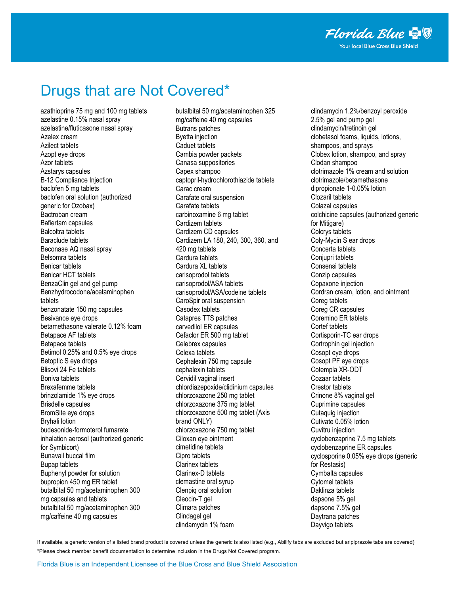# Drugs that are Not Covered\*

azathioprine 75 mg and 100 mg tablets azelastine 0.15% nasal spray azelastine/fluticasone nasal spray Azelex cream Azilect tablets Azopt eye drops Azor tablets Azstarys capsules B-12 Compliance Injection baclofen 5 mg tablets baclofen oral solution (authorized generic for Ozobax) Bactroban cream Bafiertam capsules Balcoltra tablets Baraclude tablets Beconase AQ nasal spray Belsomra tablets Benicar tablets Benicar HCT tablets BenzaClin gel and gel pump Benzhydrocodone/acetaminophen tablets benzonatate 150 mg capsules Besivance eye drops betamethasone valerate 0.12% foam Betapace AF tablets Betapace tablets Betimol 0.25% and 0.5% eye drops Betoptic S eye drops Blisovi 24 Fe tablets Boniva tablets Brexafemme tablets brinzolamide 1% eye drops Brisdelle capsules BromSite eye drops Bryhali lotion budesonide-formoterol fumarate inhalation aerosol (authorized generic for Symbicort) Bunavail buccal film Bupap tablets Buphenyl powder for solution bupropion 450 mg ER tablet butalbital 50 mg/acetaminophen 300 mg capsules and tablets butalbital 50 mg/acetaminophen 300 mg/caffeine 40 mg capsules

butalbital 50 mg/acetaminophen 325 mg/caffeine 40 mg capsules Butrans patches Byetta injection Caduet tablets Cambia powder packets Canasa suppositories Capex shampoo captopril-hydrochlorothiazide tablets Carac cream Carafate oral suspension Carafate tablets carbinoxamine 6 mg tablet Cardizem tablets Cardizem CD capsules Cardizem LA 180, 240, 300, 360, and 420 mg tablets Cardura tablets Cardura XL tablets carisoprodol tablets carisoprodol/ASA tablets carisoprodol/ASA/codeine tablets CaroSpir oral suspension Casodex tablets Catapres TTS patches carvedilol ER capsules Cefaclor ER 500 mg tablet Celebrex capsules Celexa tablets Cephalexin 750 mg capsule cephalexin tablets Cervidil vaginal insert chlordiazepoxide/clidinium capsules chlorzoxazone 250 mg tablet chlorzoxazone 375 mg tablet chlorzoxazone 500 mg tablet (Axis brand ONLY) chlorzoxazone 750 mg tablet Ciloxan eye ointment cimetidine tablets Cipro tablets Clarinex tablets Clarinex-D tablets clemastine oral syrup Clenpiq oral solution Cleocin-T gel Climara patches Clindagel gel clindamycin 1% foam

clindamycin 1.2%/benzoyl peroxide 2.5% gel and pump gel clindamycin/tretinoin gel clobetasol foams, liquids, lotions, shampoos, and sprays Clobex lotion, shampoo, and spray Clodan shampoo clotrimazole 1% cream and solution clotrimazole/betamethasone dipropionate 1-0.05% lotion Clozaril tablets Colazal capsules colchicine capsules (authorized generic for Mitigare) Colcrys tablets Coly-Mycin S ear drops Concerta tablets Conjupri tablets Consensi tablets Conzip capsules Copaxone injection Cordran cream, lotion, and ointment Coreg tablets Coreg CR capsules Coremino ER tablets Cortef tablets Cortisporin-TC ear drops Cortrophin gel injection Cosopt eye drops Cosopt PF eye drops Cotempla XR-ODT Cozaar tablets Crestor tablets Crinone 8% vaginal gel Cuprimine capsules Cutaquig injection Cutivate 0.05% lotion Cuvitru injection cyclobenzaprine 7.5 mg tablets cyclobenzaprine ER capsules cyclosporine 0.05% eye drops (generic for Restasis) Cymbalta capsules Cytomel tablets Daklinza tablets dapsone 5% gel dapsone 7.5% gel Daytrana patches Dayvigo tablets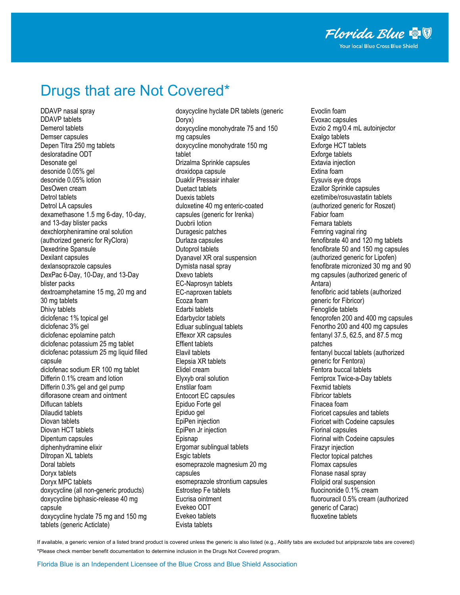# Drugs that are Not Covered\*

DDAVP nasal spray DDAVP tablets Demerol tablets Demser capsules Depen Titra 250 mg tablets desloratadine ODT Desonate gel desonide 0.05% gel desonide 0.05% lotion DesOwen cream Detrol tablets Detrol LA capsules dexamethasone 1.5 mg 6-day, 10-day, and 13-day blister packs dexchlorpheniramine oral solution (authorized generic for RyClora) Dexedrine Spansule Dexilant capsules dexlansoprazole capsules DexPac 6-Day, 10-Day, and 13-Day blister packs dextroamphetamine 15 mg, 20 mg and 30 mg tablets Dhivy tablets diclofenac 1% topical gel diclofenac 3% gel diclofenac epolamine patch diclofenac potassium 25 mg tablet diclofenac potassium 25 mg liquid filled capsule diclofenac sodium ER 100 mg tablet Differin 0.1% cream and lotion Differin 0.3% gel and gel pump diflorasone cream and ointment Diflucan tablets Dilaudid tablets Diovan tablets Diovan HCT tablets Dipentum capsules diphenhydramine elixir Ditropan XL tablets Doral tablets Doryx tablets Doryx MPC tablets doxycycline (all non-generic products) doxycycline biphasic-release 40 mg capsule doxycycline hyclate 75 mg and 150 mg tablets (generic Acticlate)

doxycycline hyclate DR tablets (generic Doryx) doxycycline monohydrate 75 and 150 mg capsules doxycycline monohydrate 150 mg tablet Drizalma Sprinkle capsules droxidopa capsule Duaklir Pressair inhaler Duetact tablets Duexis tablets duloxetine 40 mg enteric-coated capsules (generic for Irenka) Duobrii lotion Duragesic patches Durlaza capsules Dutoprol tablets Dyanavel XR oral suspension Dymista nasal spray Dxevo tablets EC-Naprosyn tablets EC-naproxen tablets Ecoza foam Edarbi tablets Edarbyclor tablets Edluar sublingual tablets Effexor XR capsules Effient tablets Elavil tablets Elepsia XR tablets Elidel cream Elyxyb oral solution Enstilar foam Entocort EC capsules Epiduo Forte gel Epiduo gel EpiPen injection EpiPen Jr injection Episnap Ergomar sublingual tablets Esgic tablets esomeprazole magnesium 20 mg capsules esomeprazole strontium capsules Estrostep Fe tablets Eucrisa ointment Evekeo ODT Evekeo tablets Evista tablets

Evoclin foam Evoxac capsules Evzio 2 mg/0.4 mL autoinjector Exalgo tablets Exforge HCT tablets Exforge tablets Extavia injection Extina foam Eysuvis eye drops Ezallor Sprinkle capsules ezetimibe/rosuvastatin tablets (authorized generic for Roszet) Fabior foam Femara tablets Femring vaginal ring fenofibrate 40 and 120 mg tablets fenofibrate 50 and 150 mg capsules (authorized generic for Lipofen) fenofibrate micronized 30 mg and 90 mg capsules (authorized generic of Antara) fenofibric acid tablets (authorized generic for Fibricor) Fenoglide tablets fenoprofen 200 and 400 mg capsules Fenortho 200 and 400 mg capsules fentanyl 37.5, 62.5, and 87.5 mcg patches fentanyl buccal tablets (authorized generic for Fentora) Fentora buccal tablets Ferriprox Twice-a-Day tablets Fexmid tablets Fibricor tablets Finacea foam Fioricet capsules and tablets Fioricet with Codeine capsules Fiorinal capsules Fiorinal with Codeine capsules Firazyr injection Flector topical patches Flomax capsules Flonase nasal spray Flolipid oral suspension fluocinonide 0.1% cream fluorouracil 0.5% cream (authorized generic of Carac) fluoxetine tablets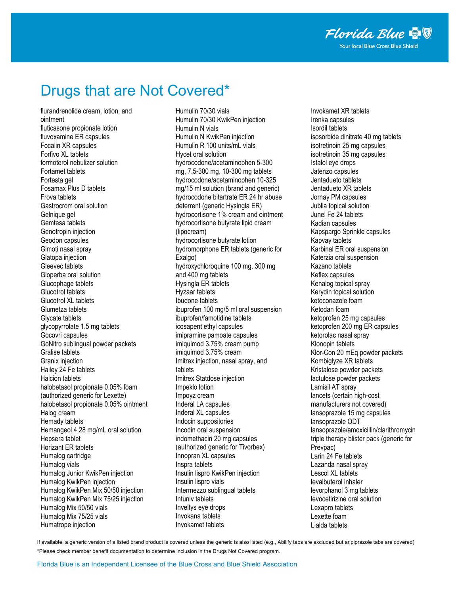## Drugs that are Not Covered\*

flurandrenolide cream, lotion, and ointment fluticasone propionate lotion fluvoxamine ER capsules Focalin XR capsules Forfivo XL tablets formoterol nebulizer solution Fortamet tablets Fortesta gel Fosamax Plus D tablets Frova tablets Gastrocrom oral solution Gelnique gel Gemtesa tablets Genotropin injection Geodon capsules Gimoti nasal spray Glatopa injection Gleevec tablets Gloperba oral solution Glucophage tablets Glucotrol tablets Glucotrol XL tablets Glumetza tablets Glycate tablets glycopyrrolate 1.5 mg tablets Gocovri capsules GoNitro sublingual powder packets Gralise tablets Granix injection Hailey 24 Fe tablets Halcion tablets halobetasol propionate 0.05% foam (authorized generic for Lexette) halobetasol propionate 0.05% ointment Halog cream Hemady tablets Hemangeol 4.28 mg/mL oral solution Hepsera tablet Horizant ER tablets Humalog cartridge Humalog vials Humalog Junior KwikPen injection Humalog KwikPen injection Humalog KwikPen Mix 50/50 injection Humalog KwikPen Mix 75/25 injection Humalog Mix 50/50 vials Humalog Mix 75/25 vials Humatrope injection

Humulin 70/30 vials Humulin 70/30 KwikPen injection Humulin N vials Humulin N KwikPen injection Humulin R 100 units/mL vials Hycet oral solution hydrocodone/acetaminophen 5-300 mg, 7.5-300 mg, 10-300 mg tablets hydrocodone/acetaminophen 10-325 mg/15 ml solution (brand and generic) hydrocodone bitartrate ER 24 hr abuse deterrent (generic Hysingla ER) hydrocortisone 1% cream and ointment hydrocortisone butyrate lipid cream (lipocream) hydrocortisone butyrate lotion hydromorphone ER tablets (generic for Exalgo) hydroxychloroquine 100 mg, 300 mg and 400 mg tablets Hysingla ER tablets Hyzaar tablets Ibudone tablets ibuprofen 100 mg/5 ml oral suspension ibuprofen/famotidine tablets icosapent ethyl capsules imipramine pamoate capsules imiquimod 3.75% cream pump imiquimod 3.75% cream Imitrex injection, nasal spray, and tablets Imitrex Statdose injection Impeklo lotion Impoyz cream Inderal LA capsules Inderal XL capsules Indocin suppositories Incodin oral suspension indomethacin 20 mg capsules (authorized generic for Tivorbex) Innopran XL capsules Inspra tablets Insulin lispro KwikPen injection Insulin lispro vials Intermezzo sublingual tablets Intuniv tablets Inveltys eye drops Invokana tablets Invokamet tablets

Invokamet XR tablets Irenka capsules Isordil tablets isosorbide dinitrate 40 mg tablets isotretinoin 25 mg capsules isotretinoin 35 mg capsules Istalol eye drops Jatenzo capsules Jentadueto tablets Jentadueto XR tablets Jornay PM capsules Jublia topical solution Junel Fe 24 tablets Kadian capsules Kapspargo Sprinkle capsules Kapvay tablets Karbinal ER oral suspension Katerzia oral suspension Kazano tablets Keflex capsules Kenalog topical spray Kerydin topical solution ketoconazole foam Ketodan foam ketoprofen 25 mg capsules ketoprofen 200 mg ER capsules ketorolac nasal spray Klonopin tablets Klor-Con 20 mEq powder packets Kombiglyze XR tablets Kristalose powder packets lactulose powder packets Lamisil AT spray lancets (certain high-cost manufacturers not covered) lansoprazole 15 mg capsules lansoprazole ODT lansoprazole/amoxicillin/clarithromycin triple therapy blister pack (generic for Prevpac) Larin 24 Fe tablets Lazanda nasal spray Lescol XL tablets levalbuterol inhaler levorphanol 3 mg tablets levocetirizine oral solution Lexapro tablets Lexette foam Lialda tablets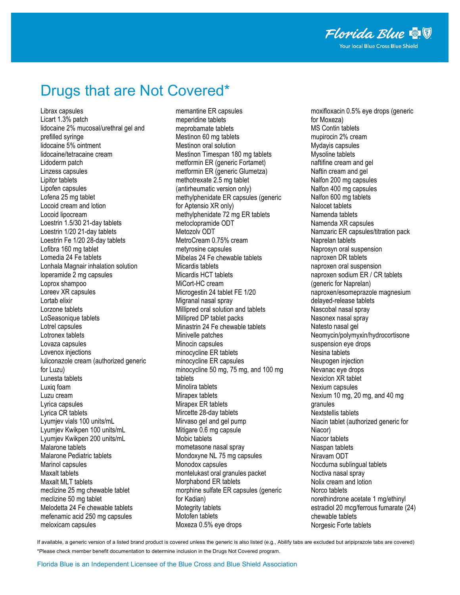### Drugs that are Not Covered\*

Librax capsules Licart 1.3% patch lidocaine 2% mucosal/urethral gel and prefilled syringe lidocaine 5% ointment lidocaine/tetracaine cream Lidoderm patch Linzess capsules Lipitor tablets Lipofen capsules Lofena 25 mg tablet Locoid cream and lotion Locoid lipocream Loestrin 1.5/30 21-day tablets Loestrin 1/20 21-day tablets Loestrin Fe 1/20 28-day tablets Lofibra 160 mg tablet Lomedia 24 Fe tablets Lonhala Magnair inhalation solution loperamide 2 mg capsules Loprox shampoo Loreev XR capsules Lortab elixir Lorzone tablets LoSeasonique tablets Lotrel capsules Lotronex tablets Lovaza capsules Lovenox injections luliconazole cream (authorized generic for Luzu) Lunesta tablets Luxiq foam Luzu cream Lyrica capsules Lyrica CR tablets Lyumjev vials 100 units/mL Lyumjev Kwikpen 100 units/mL Lyumjev Kwikpen 200 units/mL Malarone tablets Malarone Pediatric tablets Marinol capsules Maxalt tablets Maxalt MLT tablets meclizine 25 mg chewable tablet meclizine 50 mg tablet Melodetta 24 Fe chewable tablets mefenamic acid 250 mg capsules meloxicam capsules

memantine ER capsules meperidine tablets meprobamate tablets Mestinon 60 mg tablets Mestinon oral solution Mestinon Timespan 180 mg tablets metformin ER (generic Fortamet) metformin ER (generic Glumetza) methotrexate 2.5 mg tablet (antirheumatic version only) methylphenidate ER capsules (generic for Aptensio XR only) methylphenidate 72 mg ER tablets metoclopramide ODT Metozolv ODT MetroCream 0.75% cream metyrosine capsules Mibelas 24 Fe chewable tablets Micardis tablets Micardis HCT tablets MiCort-HC cream Microgestin 24 tablet FE 1/20 Migranal nasal spray Millipred oral solution and tablets Millipred DP tablet packs Minastrin 24 Fe chewable tablets Minivelle patches Minocin capsules minocycline ER tablets minocycline ER capsules minocycline 50 mg, 75 mg, and 100 mg tablets Minolira tablets Mirapex tablets Mirapex ER tablets Mircette 28-day tablets Mirvaso gel and gel pump Mitigare 0.6 mg capsule Mobic tablets mometasone nasal spray Mondoxyne NL 75 mg capsules Monodox capsules montelukast oral granules packet Morphabond ER tablets morphine sulfate ER capsules (generic for Kadian) Motegrity tablets Motofen tablets Moxeza 0.5% eye drops

moxifloxacin 0.5% eye drops (generic for Moxeza) MS Contin tablets mupirocin 2% cream Mydayis capsules Mysoline tablets naftifine cream and gel Naftin cream and gel Nalfon 200 mg capsules Nalfon 400 mg capsules Nalfon 600 mg tablets Nalocet tablets Namenda tablets Namenda XR capsules Namzaric ER capsules/titration pack Naprelan tablets Naprosyn oral suspension naproxen DR tablets naproxen oral suspension naproxen sodium ER / CR tablets (generic for Naprelan) naproxen/esomeprazole magnesium delayed-release tablets Nascobal nasal spray Nasonex nasal spray Natesto nasal gel Neomycin/polymyxin/hydrocortisone suspension eye drops Nesina tablets Neupogen injection Nevanac eye drops Nexiclon XR tablet Nexium capsules Nexium 10 mg, 20 mg, and 40 mg granules Nextstellis tablets Niacin tablet (authorized generic for Niacor) Niacor tablets Niaspan tablets Niravam ODT Nocdurna sublingual tablets Noctiva nasal spray Nolix cream and lotion Norco tablets norethindrone acetate 1 mg/ethinyl estradiol 20 mcg/ferrous fumarate (24) chewable tablets Norgesic Forte tablets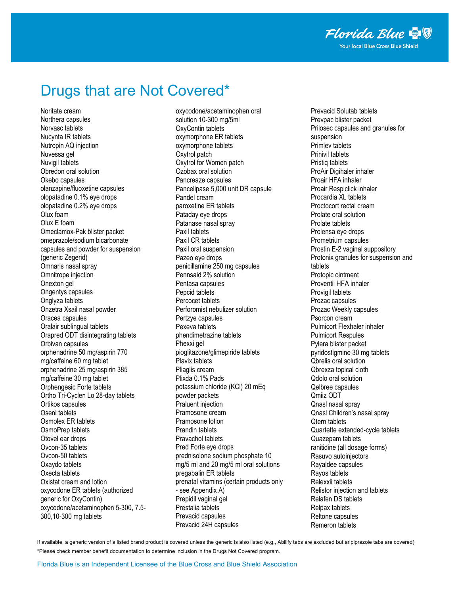# Drugs that are Not Covered\*

Noritate cream Northera capsules Norvasc tablets Nucynta IR tablets Nutropin AQ injection Nuvessa gel Nuvigil tablets Obredon oral solution Okebo capsules olanzapine/fluoxetine capsules olopatadine 0.1% eye drops olopatadine 0.2% eye drops Olux foam Olux E foam Omeclamox-Pak blister packet omeprazole/sodium bicarbonate capsules and powder for suspension (generic Zegerid) Omnaris nasal spray Omnitrope injection Onexton gel Ongentys capsules Onglyza tablets Onzetra Xsail nasal powder Oracea capsules Oralair sublingual tablets Orapred ODT disintegrating tablets Orbivan capsules orphenadrine 50 mg/aspirin 770 mg/caffeine 60 mg tablet orphenadrine 25 mg/aspirin 385 mg/caffeine 30 mg tablet Orphengesic Forte tablets Ortho Tri-Cyclen Lo 28-day tablets Ortikos capsules Oseni tablets Osmolex ER tablets OsmoPrep tablets Otovel ear drops Ovcon-35 tablets Ovcon-50 tablets Oxaydo tablets Oxecta tablets Oxistat cream and lotion oxycodone ER tablets (authorized generic for OxyContin) oxycodone/acetaminophen 5-300, 7.5- 300,10-300 mg tablets

oxycodone/acetaminophen oral solution 10-300 mg/5ml OxyContin tablets oxymorphone ER tablets oxymorphone tablets Oxytrol patch Oxytrol for Women patch Ozobax oral solution Pancreaze capsules Pancelipase 5,000 unit DR capsule Pandel cream paroxetine ER tablets Pataday eye drops Patanase nasal spray Paxil tablets Paxil CR tablets Paxil oral suspension Pazeo eye drops penicillamine 250 mg capsules Pennsaid 2% solution Pentasa capsules Pepcid tablets Percocet tablets Perforomist nebulizer solution Pertzye capsules Pexeva tablets phendimetrazine tablets Phexxi gel pioglitazone/glimepiride tablets Plavix tablets Pliaglis cream Plixda 0.1% Pads potassium chloride (KCl) 20 mEq powder packets Praluent injection Pramosone cream Pramosone lotion Prandin tablets Pravachol tablets Pred Forte eye drops prednisolone sodium phosphate 10 mg/5 ml and 20 mg/5 ml oral solutions pregabalin ER tablets prenatal vitamins (certain products only - see Appendix A) Prepidil vaginal gel Prestalia tablets Prevacid capsules Prevacid 24H capsules

Prevacid Solutab tablets Prevpac blister packet Prilosec capsules and granules for suspension Primlev tablets Prinivil tablets Pristiq tablets ProAir Digihaler inhaler Proair HFA inhaler Proair Respiclick inhaler Procardia XL tablets Proctocort rectal cream Prolate oral solution Prolate tablets Prolensa eye drops Prometrium capsules Prostin E-2 vaginal suppository Protonix granules for suspension and tablets Protopic ointment Proventil HFA inhaler Provigil tablets Prozac capsules Prozac Weekly capsules Psorcon cream Pulmicort Flexhaler inhaler Pulmicort Respules Pylera blister packet pyridostigmine 30 mg tablets Qbrelis oral solution Qbrexza topical cloth Qdolo oral solution Qelbree capsules Qmiiz ODT Qnasl nasal spray Qnasl Children's nasal spray Qtern tablets Quartette extended-cycle tablets Quazepam tablets ranitidine (all dosage forms) Rasuvo autoinjectors Rayaldee capsules Rayos tablets Relexxii tablets Relistor injection and tablets Relafen DS tablets Relpax tablets Reltone capsules Remeron tablets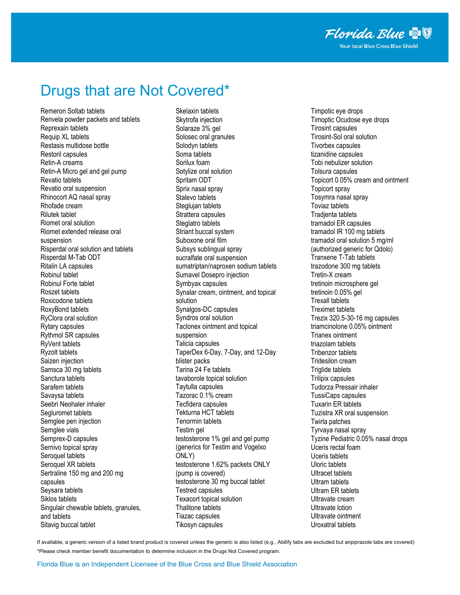#### Drugs that are Not Covered\*

Remeron Soltab tablets Renvela powder packets and tablets Reprexain tablets Requip XL tablets Restasis multidose bottle Restoril capsules Retin-A creams Retin-A Micro gel and gel pump Revatio tablets Revatio oral suspension Rhinocort AQ nasal spray Rhofade cream Rilutek tablet Riomet oral solution Riomet extended release oral suspension Risperdal oral solution and tablets Risperdal M-Tab ODT Ritalin LA capsules Robinul tablet Robinul Forte tablet Roszet tablets Roxicodone tablets RoxyBond tablets RyClora oral solution Rytary capsules Rythmol SR capsules RyVent tablets Ryzolt tablets Saizen injection Samsca 30 mg tablets Sanctura tablets Sarafem tablets Savaysa tablets Seebri Neohaler inhaler Segluromet tablets Semglee pen injection Semglee vials Semprex-D capsules Sernivo topical spray Seroquel tablets Seroquel XR tablets Sertraline 150 mg and 200 mg capsules Seysara tablets Siklos tablets Singulair chewable tablets, granules, and tablets Sitavig buccal tablet

Skelaxin tablets Skytrofa injection Solaraze 3% gel Solosec oral granules Solodyn tablets Soma tablets Sorilux foam Sotylize oral solution Spritam ODT Sprix nasal spray Stalevo tablets Steglujan tablets Strattera capsules Steglatro tablets Striant buccal system Suboxone oral film Subsys sublingual spray sucralfate oral suspension sumatriptan/naproxen sodium tablets Sumavel Dosepro injection Symbyax capsules Synalar cream, ointment, and topical solution Synalgos-DC capsules Syndros oral solution Taclonex ointment and topical suspension Talicia capsules TaperDex 6-Day, 7-Day, and 12-Day blister packs Tarina 24 Fe tablets tavaborole topical solution Taytulla capsules Tazorac 0.1% cream Tecfidera capsules Tekturna HCT tablets Tenormin tablets Testim gel testosterone 1% gel and gel pump (generics for Testim and Vogelxo ONLY) testosterone 1.62% packets ONLY (pump is covered) testosterone 30 mg buccal tablet Testred capsules Texacort topical solution Thalitone tablets Tiazac capsules Tikosyn capsules

Timpotic eye drops Timoptic Ocudose eye drops Tirosint capsules Tirosint-Sol oral solution Tivorbex capsules tizanidine capsules Tobi nebulizer solution Tolsura capsules Topicort 0.05% cream and ointment Topicort spray Tosymra nasal spray Toviaz tablets Tradjenta tablets tramadol ER capsules tramadol IR 100 mg tablets tramadol oral solution 5 mg/ml (authorized generic for Qdolo) Tranxene T-Tab tablets trazodone 300 mg tablets Tretin-X cream tretinoin microsphere gel tretinoin 0.05% gel Trexall tablets Treximet tablets Trezix 320.5-30-16 mg capsules triamcinolone 0.05% ointment Trianex ointment triazolam tablets Tribenzor tablets Tridesilon cream Triglide tablets Trilipix capsules Tudorza Pressair inhaler TussiCaps capsules Tuxarin ER tablets Tuzistra XR oral suspension Twirla patches Tyrvaya nasal spray Tyzine Pediatric 0.05% nasal drops Uceris rectal foam Uceris tablets Uloric tablets Ultracet tablets Ultram tablets Ultram ER tablets Ultravate cream Ultravate lotion Ultravate ointment Uroxatral tablets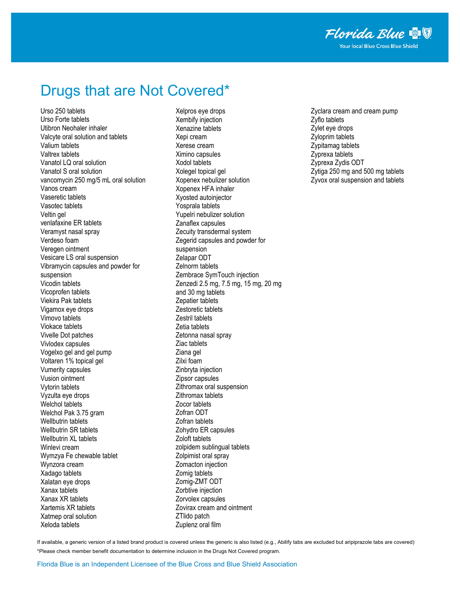#### Drugs that are Not Covered\*

Urso 250 tablets Urso Forte tablets Utibron Neohaler inhaler Valcyte oral solution and tablets Valium tablets Valtrex tablets Vanatol LQ oral solution Vanatol S oral solution vancomycin 250 mg/5 mL oral solution Vanos cream Vaseretic tablets Vasotec tablets Veltin gel venlafaxine ER tablets Veramyst nasal spray Verdeso foam Veregen ointment Vesicare LS oral suspension Vibramycin capsules and powder for suspension Vicodin tablets Vicoprofen tablets Viekira Pak tablets Vigamox eye drops Vimovo tablets Viokace tablets Vivelle Dot patches Vivlodex capsules Vogelxo gel and gel pump Voltaren 1% topical gel Vumerity capsules Vusion ointment Vytorin tablets Vyzulta eye drops Welchol tablets Welchol Pak 3.75 gram Wellbutrin tablets Wellbutrin SR tablets Wellbutrin XL tablets Winlevi cream Wymzya Fe chewable tablet Wynzora cream Xadago tablets Xalatan eye drops Xanax tablets Xanax XR tablets Xartemis XR tablets Xatmep oral solution Xeloda tablets

Xelpros eye drops Xembify injection Xenazine tablets Xepi cream Xerese cream Ximino capsules Xodol tablets Xolegel topical gel Xopenex nebulizer solution Xopenex HFA inhaler Xyosted autoinjector Yosprala tablets Yupelri nebulizer solution Zanaflex capsules Zecuity transdermal system Zegerid capsules and powder for suspension Zelapar ODT Zelnorm tablets Zembrace SymTouch injection Zenzedi 2.5 mg, 7.5 mg, 15 mg, 20 mg and 30 mg tablets Zepatier tablets Zestoretic tablets Zestril tablets Zetia tablets Zetonna nasal spray Ziac tablets Ziana gel Zilxi foam Zinbryta injection Zipsor capsules Zithromax oral suspension Zithromax tablets Zocor tablets Zofran ODT Zofran tablets Zohydro ER capsules Zoloft tablets zolpidem sublingual tablets Zolpimist oral spray Zomacton injection Zomig tablets Zomig-ZMT ODT Zorbtive injection Zorvolex capsules Zovirax cream and ointment ZTlido patch Zuplenz oral film

Zyclara cream and cream pump Zyflo tablets Zylet eye drops Zyloprim tablets Zypitamag tablets Zyprexa tablets Zyprexa Zydis ODT Zytiga 250 mg and 500 mg tablets Zyvox oral suspension and tablets